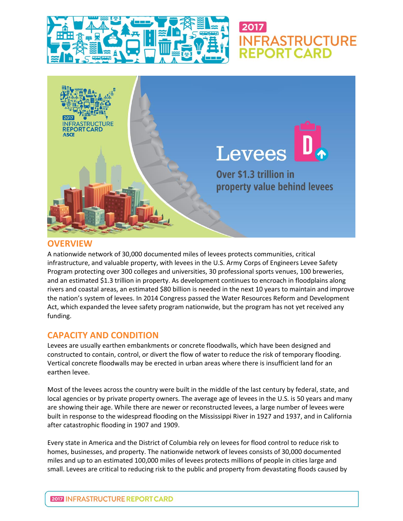



#### **OVERVIEW**

A nationwide network of 30,000 documented miles of levees protects communities, critical infrastructure, and valuable property, with levees in the U.S. Army Corps of Engineers Levee Safety Program protecting over 300 colleges and universities, 30 professional sports venues, 100 breweries, and an estimated \$1.3 trillion in property. As development continues to encroach in floodplains along rivers and coastal areas, an estimated \$80 billion is needed in the next 10 years to maintain and improve the nation's system of levees. In 2014 Congress passed the Water Resources Reform and Development Act, which expanded the levee safety program nationwide, but the program has not yet received any funding.

# **CAPACITY AND CONDITION**

Levees are usually earthen embankments or concrete floodwalls, which have been designed and constructed to contain, control, or divert the flow of water to reduce the risk of temporary flooding. Vertical concrete floodwalls may be erected in urban areas where there is insufficient land for an earthen levee.

Most of the levees across the country were built in the middle of the last century by federal, state, and local agencies or by private property owners. The average age of levees in the U.S. is 50 years and many are showing their age. While there are newer or reconstructed levees, a large number of levees were built in response to the widespread flooding on the Mississippi River in 1927 and 1937, and in California after catastrophic flooding in 1907 and 1909.

Every state in America and the District of Columbia rely on levees for flood control to reduce risk to homes, businesses, and property. The nationwide network of levees consists of 30,000 documented miles and up to an estimated 100,000 miles of levees protects millions of people in cities large and small. Levees are critical to reducing risk to the public and property from devastating floods caused by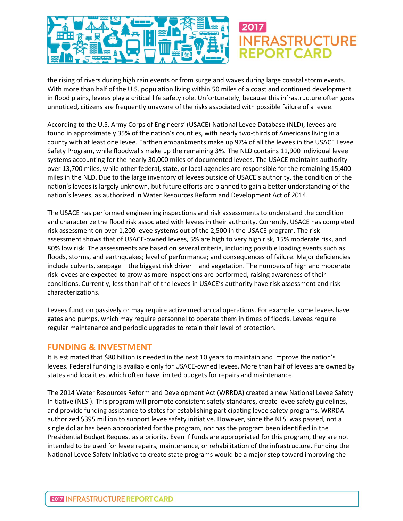

the rising of rivers during high rain events or from surge and waves during large coastal storm events. With more than half of the U.S. population living within 50 miles of a coast and continued development in flood plains, levees play a critical life safety role. Unfortunately, because this infrastructure often goes unnoticed, citizens are frequently unaware of the risks associated with possible failure of a levee.

According to the U.S. Army Corps of Engineers' (USACE) National Levee Database (NLD), levees are found in approximately 35% of the nation's counties, with nearly two-thirds of Americans living in a county with at least one levee. Earthen embankments make up 97% of all the levees in the USACE Levee Safety Program, while floodwalls make up the remaining 3%. The NLD contains 11,900 individual levee systems accounting for the nearly 30,000 miles of documented levees. The USACE maintains authority over 13,700 miles, while other federal, state, or local agencies are responsible for the remaining 15,400 miles in the NLD. Due to the large inventory of levees outside of USACE's authority, the condition of the nation's levees is largely unknown, but future efforts are planned to gain a better understanding of the nation's levees, as authorized in Water Resources Reform and Development Act of 2014.

The USACE has performed engineering inspections and risk assessments to understand the condition and characterize the flood risk associated with levees in their authority. Currently, USACE has completed risk assessment on over 1,200 levee systems out of the 2,500 in the USACE program. The risk assessment shows that of USACE-owned levees, 5% are high to very high risk, 15% moderate risk, and 80% low risk. The assessments are based on several criteria, including possible loading events such as floods, storms, and earthquakes; level of performance; and consequences of failure. Major deficiencies include culverts, seepage – the biggest risk driver – and vegetation. The numbers of high and moderate risk levees are expected to grow as more inspections are performed, raising awareness of their conditions. Currently, less than half of the levees in USACE's authority have risk assessment and risk characterizations.

Levees function passively or may require active mechanical operations. For example, some levees have gates and pumps, which may require personnel to operate them in times of floods. Levees require regular maintenance and periodic upgrades to retain their level of protection.

#### **FUNDING & INVESTMENT**

It is estimated that \$80 billion is needed in the next 10 years to maintain and improve the nation's levees. Federal funding is available only for USACE-owned levees. More than half of levees are owned by states and localities, which often have limited budgets for repairs and maintenance.

The 2014 Water Resources Reform and Development Act (WRRDA) created a new National Levee Safety Initiative (NLSI). This program will promote consistent safety standards, create levee safety guidelines, and provide funding assistance to states for establishing participating levee safety programs. WRRDA authorized \$395 million to support levee safety initiative. However, since the NLSI was passed, not a single dollar has been appropriated for the program, nor has the program been identified in the Presidential Budget Request as a priority. Even if funds are appropriated for this program, they are not intended to be used for levee repairs, maintenance, or rehabilitation of the infrastructure. Funding the National Levee Safety Initiative to create state programs would be a major step toward improving the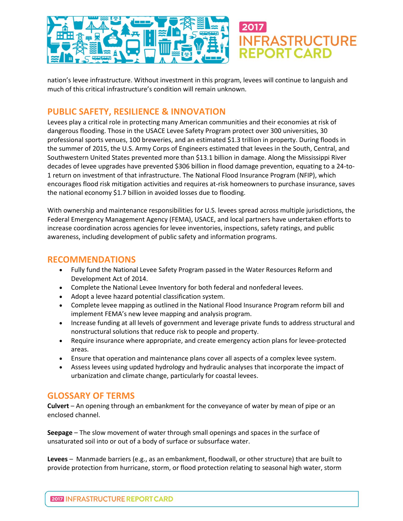

nation's levee infrastructure. Without investment in this program, levees will continue to languish and much of this critical infrastructure's condition will remain unknown.

# **PUBLIC SAFETY, RESILIENCE & INNOVATION**

Levees play a critical role in protecting many American communities and their economies at risk of dangerous flooding. Those in the USACE Levee Safety Program protect over 300 universities, 30 professional sports venues, 100 breweries, and an estimated \$1.3 trillion in property. During floods in the summer of 2015, the U.S. Army Corps of Engineers estimated that levees in the South, Central, and Southwestern United States prevented more than \$13.1 billion in damage. Along the Mississippi River decades of levee upgrades have prevented \$306 billion in flood damage prevention, equating to a 24-to-1 return on investment of that infrastructure. The National Flood Insurance Program (NFIP), which encourages flood risk mitigation activities and requires at-risk homeowners to purchase insurance, saves the national economy \$1.7 billion in avoided losses due to flooding.

With ownership and maintenance responsibilities for U.S. levees spread across multiple jurisdictions, the Federal Emergency Management Agency (FEMA), USACE, and local partners have undertaken efforts to increase coordination across agencies for levee inventories, inspections, safety ratings, and public awareness, including development of public safety and information programs.

#### **RECOMMENDATIONS**

- Fully fund the National Levee Safety Program passed in the Water Resources Reform and Development Act of 2014.
- Complete the National Levee Inventory for both federal and nonfederal levees.
- Adopt a levee hazard potential classification system.
- Complete levee mapping as outlined in the National Flood Insurance Program reform bill and implement FEMA's new levee mapping and analysis program.
- Increase funding at all levels of government and leverage private funds to address structural and nonstructural solutions that reduce risk to people and property.
- Require insurance where appropriate, and create emergency action plans for levee-protected areas.
- Ensure that operation and maintenance plans cover all aspects of a complex levee system.
- Assess levees using updated hydrology and hydraulic analyses that incorporate the impact of urbanization and climate change, particularly for coastal levees.

# **GLOSSARY OF TERMS**

**Culvert** – An opening through an embankment for the conveyance of water by mean of pipe or an enclosed channel.

**Seepage** – The slow movement of water through small openings and spaces in the surface of unsaturated soil into or out of a body of surface or subsurface water.

**Levees** – Manmade barriers (e.g., as an embankment, floodwall, or other structure) that are built to provide protection from hurricane, storm, or flood protection relating to seasonal high water, storm